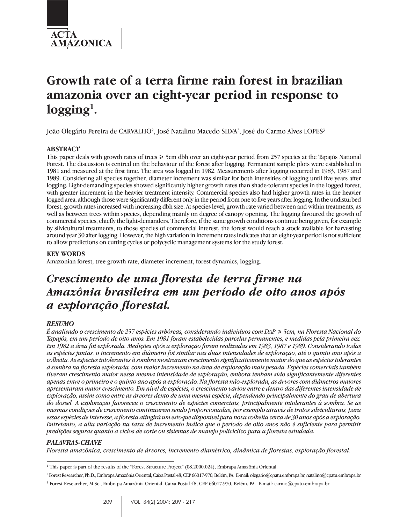

# **Growth rate of a terra firme rain forest in brazilian amazonia over an eight-year period in response to logging1.**

João Olegário Pereira de CARVALHO<sup>2</sup>, José Natalino Macedo SILVA<sup>2</sup>, José do Carmo Alves LOPES<sup>3</sup>

# **ABSTRACT**

This paper deals with growth rates of trees  $\geq 5$ cm dbh over an eight-year period from 257 species at the Tapajós National Forest. The discussion is centred on the behaviour of the forest after logging. Permanent sample plots were established in 1981 and measured at the first time. The area was logged in 1982. Measurements after logging occurred in 1983, 1987 and 1989. Considering all species together, diameter increment was similar for both intensities of logging until five years after logging. Light-demanding species showed significantly higher growth rates than shade-tolerant species in the logged forest, with greater increment in the heavier treatment intensity. Commercial species also had higher growth rates in the heavier logged area, although those were significantly different only in the period from one to five years after logging. In the undisturbed forest, growth rates increased with increasing dbh size. At species level, growth rate varied between and within treatments, as well as between trees within species, depending mainly on degree of canopy opening. The logging favoured the growth of commercial species, chiefly the light-demanders. Therefore, if the same growth conditions continue being given, for example by silvicultural treatments, to those species of commercial interest, the forest would reach a stock available for harvesting around year 30 after logging. However, the high variation in increment rates indicates that an eight-year period is not sufficient to allow predictions on cutting cycles or polycyclic management systems for the study forest.

# **KEY WORDS**

Amazonian forest, tree growth rate, diameter increment, forest dynamics, logging.

# *Crescimento de uma floresta de terra firme na Amazônia brasileira em um período de oito anos após a exploração florestal.*

# *RESUMO*

*É analisado o crescimento de 257 espécies arbóreas, considerando indivíduos com DAP* \$ *5cm, na Floresta Nacional do Tapajós, em um período de oito anos. Em 1981 foram estabelecidas parcelas permanentes, e medidas pela primeira vez. Em 1982 a área foi explorada. Medições após a exploração foram realizadas em 1983, 1987 e 1989. Considerando todas as espécies juntas, o incremento em diâmetro foi similar nas duas intensidades de exploração, até o quinto ano após a colheita. As espécies intolerantes à sombra mostraram crescimento significativamente maior do que as espécies tolerantes à sombra na floresta explorada, com maior incremento na área de exploração mais pesada. Espécies comerciais também tiveram crescimento maior nessa mesma intensidade de exploração, embora tenham sido significantemente diferentes apenas entre o primeiro e o quinto ano após a exploração. Na floresta não-explorada, as árvores com diâmetros maiores apresentaram maior crescimento. Em nível de espécies, o crescimento variou entre e dentro das diferentes intensidade de exploração, assim como entre as árvores dento de uma mesma espécie, dependendo principalmente do grau de abertura do dossel. A exploração favoreceu o crescimento de espécies comerciais, principalmente intolerantes à sombra. Se as mesmas condições de crescimento continuarem sendo proporcionadas, por exemplo através de tratos silviculturais, para essas espécies de interesse, a floresta atingirá um estoque disponível para nova colheita cerca de 30 anos após a exploração. Entretanto, a alta variação na taxa de incremento indica que o período de oito anos não é suficiente para permitir predições seguras quanto a ciclos de corte ou sistemas de manejo policíclico para a floresta estudada.*

# *PALAVRAS-CHAVE*

*Floresta amazônica, crescimento de árvores, incremento diamétrico, dinâmica de florestas, exploração florestal.*

<sup>&</sup>lt;sup>1</sup> This paper is part of the results of the "Forest Structure Project" (08.2000.024), Embrapa Amazônia Oriental.

<sup>2</sup> Forest Researcher, Ph.D., Embrapa Amazônia Oriental, Caixa Postal 48, CEP 66017-970, Belém, PA. E-mail: olegario@cpatu.embrapa.br, natalino@cpatu.embrapa.br

<sup>3</sup> Forest Researcher, M.Sc., Embrapa Amazônia Oriental, Caixa Postal 48, CEP 66017-970, Belém, PA. E-mail: carmo@cpatu.embrapa.br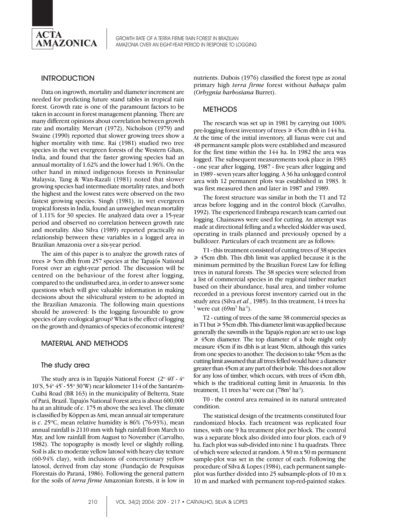

# **INTRODUCTION**

Data on ingrowth, mortality and diameter increment are needed for predicting future stand tables in tropical rain forest. Growth rate is one of the paramount factors to be taken in account in forest management planning. There are many different opinions about correlation between growth rate and mortality. Mervart (1972), Nicholson (1979) and Swaine (1990) reported that slower growing trees show a higher mortality with time. Rai (1981) studied two tree species in the wet evergreen forests of the Western Ghats, India, and found that the faster growing species had an annual mortality of 1.62% and the lower had 1.96%. On the other hand in mixed indigenous forests in Peninsular Malaysia, Tang & Wan-Razali (1981) noted that slower growing species had intermediate mortality rates, and both the highest and the lowest rates were observed on the two fastest growing species. Singh (1981), in wet evergreen tropical forests in India, found an unweighed mean mortality of 1.11% for 30 species. He analyzed data over a 15-year period and observed no correlation between growth rate and mortality. Also Silva (1989) reported practically no relationship between these variables in a logged area in Brazilian Amazonia over a six-year period.

The aim of this paper is to analyze the growth rates of trees  $\geq 5$ cm dbh from 257 species at the Tapajós National Forest over an eight-year period. The discussion will be centred on the behaviour of the forest after logging, compared to the undisturbed area, in order to answer some questions which will give valuable information in making decisions about the silvicultural system to be adopted in the Brazilian Amazonia. The following main questions should be answered: Is the logging favourable to grow species of any ecological group? What is the effect of logging on the growth and dynamics of species of economic interest?

# MATERIAL AND METHODS

#### The study area

The study area is in Tapajós National Forest  $(2^{\circ} 40' \cdot 4^{\circ})$ 10'S, 54o 45' - 55o 30'W) near kilometer 114 of the Santarém-Cuibá Road (BR 163) in the municipality of Belterra, State of Pará, Brazil. Tapajós National Forest area is about 600,000 ha at an altitude of *c*. 175 m above the sea level. The climate is classified by Köppen as Ami, mean annual air temperature is *c*. 25ºC, mean relative humidity is 86% (76-93%), mean annual rainfall is 2110 mm with high rainfall from March to May, and low rainfall from August to November (Carvalho, 1982). The topography is mostly level or slightly rolling. Soil is alic to moderate yellow latosol with heavy clay texture (60-94% clay), with inclusions of concretionary yellow latosol, derived from clay stone (Fundação de Pesquisas Florestais do Paraná, 1986). Following the general pattern for the soils of *terra firme* Amazonian forests, it is low in nutrients. Dubois (1976) classified the forest type as zonal primary high *terra firme* forest without *babaçu* palm (*Orbygnia barbosiana* Burret).

#### **METHODS**

The research was set up in 1981 by carrying out 100% pre-logging forest inventory of trees  $\geq 45$ cm dbh in 144 ha. At the time of the initial inventory, all lianas were cut and 48 permanent sample plots were established and measured for the first time within the 144 ha. In 1982 the area was logged. The subsequent measurements took place in 1983 - one year after logging, 1987 - five years after logging and in 1989 - seven years after logging. A 36 ha unlogged control area with 12 permanent plots was established in 1983. It was first measured then and later in 1987 and 1989.

The forest structure was similar in both the T1 and T2 areas before logging and in the control block (Carvalho, 1992). The experienced Embrapa research team carried out logging. Chainsaws were used for cutting. An attempt was made at directional felling and a wheeled skidder was used, operating in trails planned and previously opened by a bulldozer. Particulars of each treatment are as follows:

T1 - this treatment consisted of cutting trees of 38 species  $\geq 45$ cm dbh. This dbh limit was applied because it is the minimum permitted by the Brazilian Forest Law for felling trees in natural forests. The 38 species were selected from a list of commercial species in the regional timber market based on their abundance, basal area, and timber volume recorded in a previous forest inventory carried out in the study area (Silva *et al*., 1985). In this treatment, 14 trees ha-<sup>1</sup> were cut  $(69m^3 \text{ ha}^1)$ .

T2 - cutting of trees of the same 38 commercial species as in T1 but  $\geq 55$ cm dbh. This diameter limit was applied because generally the sawmills in the Tapajós region are set to use logs  $\geq 45$ cm diameter. The top diameter of a bole might only measure 45cm if its dbh is at least 50cm, although this varies from one species to another. The decision to take 55cm as the cutting limit assumed that all trees felled would have a diameter greater than 45cm at any part of their bole. This does not allow for any loss of timber, which occurs, with trees of 45cm dbh, which is the traditional cutting limit in Amazonia. In this treatment, 11 trees ha<sup>-1</sup> were cut (78 $m<sup>3</sup>$  ha<sup>-1</sup>).

T0 - the control area remained in its natural untreated condition.

The statistical design of the treatments constituted four randomized blocks. Each treatment was replicated four times, with one 9 ha treatment plot per block. The control was a separate block also divided into four plots, each of 9 ha. Each plot was sub-divided into nine 1 ha quadrats. Three of which were selected at random. A 50 m x 50 m permanent sample-plot was set in the center of each. Following the procedure of Silva & Lopes (1984), each permanent sampleplot was further divided into 25 subsample-plots of 10 m x 10 m and marked with permanent top-red-painted stakes.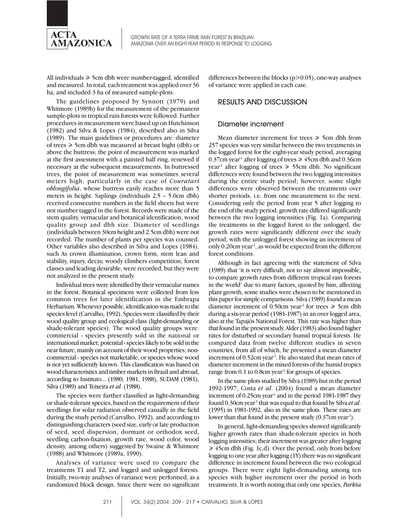

GROWTH RATE OF A TERRA FIRME RAIN FOREST IN BRAZILIAN AMAZONIA OVER AN EIGHT-YEAR PERIOD IN RESPONSE TO LOGGING

All individuals  $\geq 5$ cm dbh were number-tagged, identified and measured. In total, each treatment was applied over 36 ha, and included 3 ha of measured sample-plots.

The guidelines proposed by Synnott (1979) and Whitmore (1989b) for the measurement of the permanent sample-plots in tropical rain forests were followed. Further procedures in measurement were based up on Hutchinson (1982) and Silva & Lopes (1984), described also in Silva (1989). The main guidelines or procedures are: diameter of trees  $\geq 5$ cm dbh was measured at breast hight (dbh) or above the buttress; the point of measurement was marked at the first assessment with a painted half ring, renewed if necessary at the subsequent measurements. In buttressed trees, the point of measurement was sometimes several meters high, particularly in the case of *Couratari oblongifolia*, whose buttress easily reaches more than 5 meters in height. Saplings (individuals 2.5 – 5.0cm dbh) received consecutive numbers in the field sheets but were not number tagged in the forest. Records were made of the stem quality, vernacular and botanical identification, wood quality group and dbh size. Diameter of seedlings (individuals between 30cm height and 2.5cm dbh) were not recorded. The number of plants per species was counted. Other variables also described in Silva and Lopes (1984), such As crown illumination, crown form, stem lean and stability, injury, decay, woody climbers competition, forest classes and leading desirable, were recorded, but they were not analyzed in the present study.

Individual trees were identified by their vernacular names in the forest. Botanical specimens were collected from less common trees for later identification in the Embrapa Herbarium. Whenever possible, identification was made to the species level (Carvalho, 1992). Species were classified by their wood quality group and ecological class (light-demanding or shade-tolerant species). The wood quality groups were: commercial - species presently sold in the national or international market; potential - species likely to be sold in the near future, mainly on account of their wood properties; noncommercial - species not marketable, or species whose wood is not yet sufficiently known. This classification was based on wood characteristics and timber markets in Brazil and abroad, according to Instituto... (1980, 1981, 1988), SUDAM (1981), Silva (1989) and Teixeira *et al.* (1988).

The species were further classified as light-demanding or shade-tolerant species, based on the requirement of their seedlings for solar radiation observed casually in the field during the study period (Carvalho, 1992), and according to distinguishing characters (seed size, early or late production of seed, seed dispersion, dormant or orthodox seed, seedling carbon-fixation, growth rate, wood color, wood density, among others) suggested by Swaine & Whitmore (1988) and Whitmore (1989a, 1990).

Analyses of variance were used to compare the treatments T1 and T2, and logged and unlogged forests. Initially, two-way analyses of variance were performed, as a randomized block design. Since there were no significant

differences between the blocks (p>0.05), one-way analyses of variance were applied in each case.

#### RESULTS AND DISCUSSION

#### Diameter increment

Mean diameter increment for trees  $\geq 5$ cm dbh from 257 species was very similar between the two treatments in the logged forest for the eight-year study period, averaging 0.37cm year<sup>1</sup> after logging of trees  $\geq 45$ cm dbh and 0.36cm year<sup>1</sup> after logging of trees  $\geq 55$ cm dbh. No significant differences were found between the two logging intensities during the entire study period; however, some slight differences were observed between the treatments over shorter periods, i.e. from one measurement to the next. Considering only the period from year 5 after logging to the end of the study period, growth rate differed significantly between the two logging intensities (Fig. 1a). Comparing the treatments in the logged forest to the unlogged, the growth rates were significantly different over the study period, with the unlogged forest showing an increment of only  $0.20$ cm year<sup>1</sup>, as would be expected from the different forest conditions.

Although in fact agreeing with the statement of Silva (1989) that 'it is very difficult, not to say almost impossible, to compare growth rates from different tropical rain forests in the world' due to many factors, quoted by him, affecting plant growth, some studies were chosen to be mentioned in this paper for simple comparisons. Silva (1989) found a mean diameter increment of 0.50cm year<sup>1</sup> for trees  $\geq 5$ cm dbh during a six-year period (1981-1987) in an over logged area, also at the Tapajós National Forest. This rate was higher than that found in the present study. Alder (1983) also found higher rates for disturbed or secondary humid tropical forests. He compared data from twelve different studies in seven countries, from all of which, he presented a mean diameter increment of  $0.52$ cm year<sup>1</sup>. He also stated that mean rates of diameter increment in the mixed forests of the humid tropics range from  $0.1$  to  $0.8$ cm year<sup>1</sup> for groups of species.

In the same plots studied by Silva (1989) but in the period 1992-1997, Costa *et al*. (2004) found a mean diameter increment of  $0.25$ cm year<sup>1</sup> and in the period 1981-1987 they found 0.30cm year-1 that was equal to that found by Silva *et al*. (1995) in 1981-1992, also in the same plots. These rates are lower than that found in the present study (0.37cm year<sup>1</sup>).

In general, light-demanding species showed significantly higher growth rates than shade-tolerant species in both logging intensities; their increment was greater after logging  $\geq 45$ cm dbh (Fig. 1c,d). Over the period, only from before logging to one year after logging (1Y) there was no significant difference in increment found between the two ecological groups. There were eight light-demanding among ten species with higher increment over the period in both treatments. It is worth noting that only one species, *Parkia*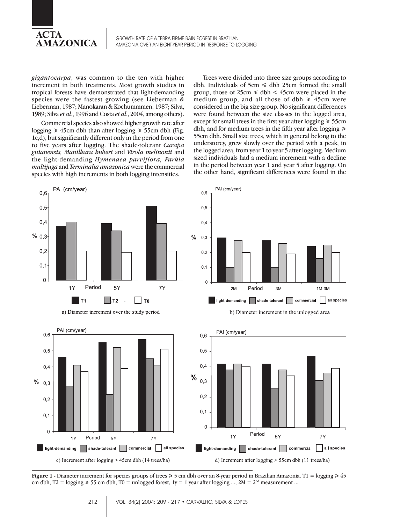

*gigantocarpa*, was common to the ten with higher increment in both treatments. Most growth studies in tropical forests have demonstrated that light-demanding species were the fastest growing (see Lieberman & Lieberman, 1987; Manokaran & Kochummmen, 1987; Silva, 1989; Silva *et al*., 1996 and Costa *et al*., 2004, among others).

Commercial species also showed higher growth rate after logging  $\geq 45$ cm dbh than after logging  $\geq 55$ cm dbh (Fig. 1c,d), but significantly different only in the period from one to five years after logging. The shade-tolerant *Carapa guianensis, Manilkara huberi* and *Virola melinonii* and the light-demanding *Hymenaea parviflora, Parkia multijuga* and *Terminalia amazonica* were the commercial species with high increments in both logging intensities.

Trees were divided into three size groups according to dbh. Individuals of  $5cm \leq$  dbh 25cm formed the small group, those of  $25 \text{cm} \leq \text{dbh} < 45 \text{cm}$  were placed in the medium group, and all those of dbh  $\geq 45$ cm were considered in the big size group. No significant differences were found between the size classes in the logged area, except for small trees in the first year after logging  $\geq 55$ cm dbh, and for medium trees in the fifth year after logging  $\geq$ 55cm dbh. Small size trees, which in general belong to the understorey, grew slowly over the period with a peak, in the logged area, from year 1 to year 5 after logging. Medium sized individuals had a medium increment with a decline in the period between year 1 and year 5 after logging. On the other hand, significant differences were found in the





a) Diameter increment over the study period

b) Diameter increment in the unlogged area



**Figure 1 <b>-** Diameter increment for species groups of trees  $\ge 5$  cm dbh over an 8-year period in Brazilian Amazonia. T1 = logging  $\ge 45$ cm dbh, T2 = logging  $\ge 55$  cm dbh, T0 = unlogged forest, 1y = 1 year after logging ..., 2M = 2<sup>nd</sup> measurement ...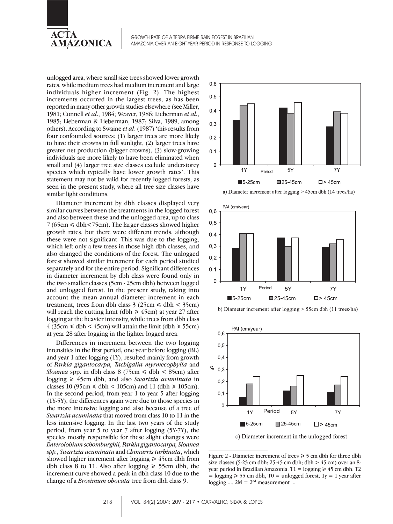

GROWTH RATE OF A TERRA FIRME RAIN FOREST IN BRAZILIAN AMAZONIA OVER AN EIGHT-YEAR PERIOD IN RESPONSE TO LOGGING

unlogged area, where small size trees showed lower growth rates, while medium trees had medium increment and large individuals higher increment (Fig. 2). The highest increments occurred in the largest trees, as has been reported in many other growth studies elsewhere (see Miller, 1981; Connell *et al*., 1984; Weaver, 1986; Lieberman *et al.*, 1985; Lieberman & Lieberman, 1987; Silva, 1989, among others). According to Swaine *et al*. (1987) 'this results from four confounded sources: (1) larger trees are more likely to have their crowns in full sunlight, (2) larger trees have greater net production (bigger crowns), (3) slow-growing individuals are more likely to have been eliminated when small and (4) larger tree size classes exclude understorey species which typically have lower growth rates'. This statement may not be valid for recently logged forests, as seen in the present study, where all tree size classes have similar light conditions.

Diameter increment by dbh classes displayed very similar curves between the treatments in the logged forest and also between these and the unlogged area, up to class  $7 (65cm \leq dbh < 75cm)$ . The larger classes showed higher growth rates, but there were different trends, although these were not significant. This was due to the logging, which left only a few trees in those high dbh classes, and also changed the conditions of the forest. The unlogged forest showed similar increment for each period studied separately and for the entire period. Significant differences in diameter increment by dbh class were found only in the two smaller classes (5cm - 25cm dbh) between logged and unlogged forest. In the present study, taking into account the mean annual diameter increment in each treatment, trees from dbh class  $3$  (25cm  $\le$  dbh  $<$  35cm) will reach the cutting limit (dbh  $\geq 45$ cm) at year 27 after logging at the heavier intensity, while trees from dbh class  $4$  (35cm  $\le$  dbh  $<$  45cm) will attain the limit (dbh  $\ge$  55cm) at year 28 after logging in the lighter logged area.

Differences in increment between the two logging intensities in the first period, one year before logging (BL) and year 1 after logging (1Y), resulted mainly from growth of *Parkia gigantocarpa, Tachigalia myrmecophylla* and *Sloanea* spp. in dbh class 8 (75cm  $\le$  dbh  $<$  85cm) after logging \$ 45cm dbh, and also *Swartzia acuminata* in classes 10 (95cm  $\le$  dbh  $<$  105cm) and 11 (dbh  $\ge$  105cm). In the second period, from year 1 to year 5 after logging (1Y-5Y), the differences again were due to those species in the more intensive logging and also because of a tree of *Swartzia acuminata* that moved from class 10 to 11 in the less intensive logging. In the last two years of the study period, from year 5 to year 7 after logging (5Y-7Y), the species mostly responsible for these slight changes were *Enterolobium schomburgkii, Parkia gigantocarpa, Sloanea spp., Swartzia acuminata* and *Chimarris turbinata*, which showed higher increment after logging  $\geq 45$ cm dbh from dbh class 8 to 11. Also after logging  $\geq 55$ cm dbh, the increment curve showed a peak in dbh class 10 due to the change of a *Brosimum obovata* tree from dbh class 9.











c) Diameter increment in the unlogged forest

Figure 2 - Diameter increment of trees  $\geq 5$  cm dbh for three dbh size classes (5-25 cm dbh; 25-45 cm dbh; dbh  $> 45$  cm) over an 8year period in Brazilian Amazonia. T1 = logging  $\geq 45$  cm dbh, T2  $=$  logging  $\ge$  55 cm dbh, T0 = unlogged forest, 1y = 1 year after logging  $..., 2M = 2<sup>nd</sup>$  measurement ...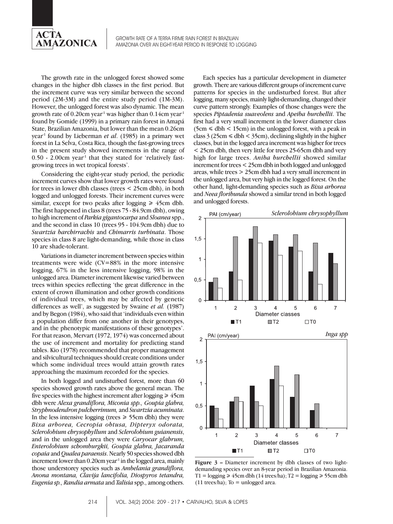

The growth rate in the unlogged forest showed some changes in the higher dbh classes in the first period. But the increment curve was very similar between the second period (2M-3M) and the entire study period (1M-3M). However, the unlogged forest was also dynamic. The mean growth rate of 0.20cm year<sup>-1</sup> was higher than 0.14cm year<sup>-1</sup> found by Gomide (1999) in a primary rain forest in Amapá State, Brazilian Amazonia, but lower than the mean 0.26cm year-1 found by Lieberman *et al*. (1985) in a primary wet forest in La Selva, Costa Rica, though the fast-growing trees in the present study showed increments in the range of  $0.50$  - 2.00cm year<sup>1</sup> that they stated for 'relatively fastgrowing trees in wet tropical forests'.

Considering the eight-year study period, the periodic increment curves show that lower growth rates were found for trees in lower dbh classes (trees < 25cm dbh), in both logged and unlogged forests. Their increment curves were similar, except for two peaks after logging  $\geq 45$ cm dbh. The first happened in class 8 (trees 75 - 84.9cm dbh), owing to high increment of *Parkia gigantocarpa* and *Sloanea* spp., and the second in class 10 (trees 95 - 104.9cm dbh) due to *Swartzia barchirrachis* and *Chimarris turbinata*. Those species in class 8 are light-demanding, while those in class 10 are shade-tolerant.

Variations in diameter increment between species within treatments were wide (CV=88% in the more intensive logging, 67% in the less intensive logging, 98% in the unlogged area. Diameter increment likewise varied between trees within species reflecting 'the great difference in the extent of crown illumination and other growth conditions of individual trees, which may be affected by genetic differences as well', as suggested by Swaine *et al.* (1987) and by Begon (1984), who said that 'individuals even within a population differ from one another in their genotypes, and in the phenotypic manifestations of these genotypes'. For that reason, Mervart (1972, 1974) was concerned about the use of increment and mortality for predicting stand tables. Kio (1978) recommended that proper management and silvicultural techniques should create conditions under which some individual trees would attain growth rates approaching the maximum recorded for the species.

In both logged and undisturbed forest, more than 60 species showed growth rates above the general mean. The five species with the highest increment after logging  $\geq 45$ cm dbh were *Alexa grandiflora, Miconia spp., Goupia glabra, Stryphnodendron pulcherrimum,* and *Swartzia acuminata*. In the less intensive logging (trees  $\geq 55$ cm dbh) they were *Bixa arborea, Cecropia obtusa, Dipteryx odorata, Sclerolobium chrysophyllum* and *Sclerolobium guianensis*, and in the unlogged area they were *Caryocar glabrum, Enterolobium schomburgkii, Goupia glabra, Jacaranda copaia* and *Qualea paraensis*. Nearly 50 species showed dbh increment lower than  $0.20$ cm year<sup>1</sup> in the logged area, mainly those understorey species such as *Ambelania grandiflora, Anona montana, Clavija lancifolia, Diospyros tetandra, Eugenia sp., Randia armata* and *Talisia* spp., among others.

Each species has a particular development in diameter growth. There are various different groups of increment curve patterns for species in the undisturbed forest. But after logging, many species, mainly light-demanding, changed their curve pattern strongly. Examples of those changes were the species *Piptadenia suaveolens* and *Apeiba burchellii*. The first had a very small increment in the lower diameter class  $(5cm \le dbh < 15cm)$  in the unlogged forest, with a peak in class  $3(25cm \leq dbh \leq 35cm)$ , declining slightly in the higher classes, but in the logged area increment was higher for trees < 25cm dbh, then very little for trees 25-65cm dbh and very high for large trees. *Aniba burchellii* showed similar increment for trees < 25cm dbh in both logged and unlogged areas, while trees > 25cm dbh had a very small increment in the unlogged area, but very high in the logged forest. On the other hand, light-demanding species such as *Bixa arborea* and *Neea floribunda* showed a similar trend in both logged and unlogged forests.



**Figure 3 –** Diameter increment by dbh classes of two lightdemanding species over an 8-year period in Brazilian Amazonia. T1 = logging  $\geq 45$ cm dbh (14 trees/ha); T2 = logging  $\geq 55$ cm dbh  $(11$  trees/ha); To = unlogged area.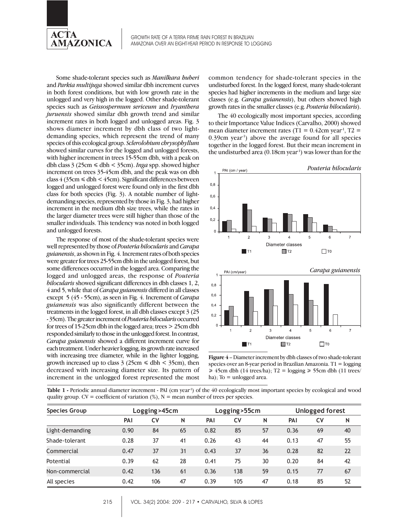

Some shade-tolerant species such as *Manilkara huberi* and *Parkia multijuga* showed similar dbh increment curves in both forest conditions, but with low growth rate in the unlogged and very high in the logged. Other shade-tolerant species such as *Geissospermum sericeum* and *Iryanthera juruensis* showed similar dbh growth trend and similar increment rates in both logged and unlogged areas. Fig. 3 shows diameter increment by dbh class of two lightdemanding species, which represent the trend of many species of this ecological group. *Sclerolobium chrysophyllum* showed similar curves for the logged and unlogged forests, with higher increment in trees 15-55cm dbh, with a peak on dbh class  $3$  (25cm  $\le$  dbh  $<$  35cm). *Inga* spp. showed higher increment on trees 35-45cm dbh, and the peak was on dbh class  $4$  (35cm  $\le$  dbh  $<$  45cm). Significant differences between logged and unlogged forest were found only in the first dbh class for both species (Fig. 3). A notable number of lightdemanding species, represented by those in Fig. 3, had higher increment in the medium dbh size trees, while the rates in the larger diameter trees were still higher than those of the smaller individuals. This tendency was noted in both logged and unlogged forests.

The response of most of the shade-tolerant species were well represented by those of *Pouteria bilocularis* and *Carapa guianensis*, as shown in Fig. 4. Increment rates of both species were greater for trees 25-55cm dbh in the unlogged forest, but some differences occurred in the logged area. Comparing the logged and unlogged areas, the response of *Pouteria bilocularis* showed significant differences in dbh classes 1, 2, 4 and 5, while that of *Carapa guianensis* differed in all classes except 5 (45 - 55cm), as seen in Fig. 4. Increment of *Carapa guianensis* was also significantly different between the treatments in the logged forest, in all dbh classes except 3 (25 - 35cm). The greater increment of *Pouteria bilocularis* occurred for trees of 15-25cm dbh in the logged area; trees > 25cm dbh responded similarly to those in the unlogged forest. In contrast, *Carapa guianensis* showed a different increment curve for each treatment. Under heavier logging, its growth rate increased with increasing tree diameter, while in the lighter logging, growth increased up to class  $3$  (25cm  $\le$  dbh  $<$  35cm), then decreased with increasing diameter size. Its pattern of increment in the unlogged forest represented the most

common tendency for shade-tolerant species in the undisturbed forest. In the logged forest, many shade-tolerant species had higher increments in the medium and large size classes (e.g. *Carapa guianensis*), but others showed high growth rates in the smaller classes (e.g. *Pouteria bilocularis*).

The 40 ecologically most important species, according to their Importance Value Indices (Carvalho, 2000) showed mean diameter increment rates (T1 =  $0.42$ cm year<sup>1</sup>, T2 =  $0.39$ cm year<sup>-1</sup>) above the average found for all species together in the logged forest. But their mean increment in the undisturbed area  $(0.18cm \, year^1)$  was lower than for the



**Figure 4** – Diameter increment by dbh classes of two shade-tolerant species over an 8-year period in Brazilian Amazonia. T1 = logging  $\geq 45$ cm dbh (14 trees/ha); T2 = logging  $\geq 55$ cm dbh (11 trees/ ha); To  $=$  unlogged area.

Table 1 - Periodic annual diameter increment - PAI (cm year<sup>1</sup>) of the 40 ecologically most important species by ecological and wood quality group. CV = coefficient of variation  $(\%)$ , N = mean number of trees per species.

| Species Group   | Logging > 45cm |     |    | Logging > 55cm |     |    | Unlogged forest |    |    |
|-----------------|----------------|-----|----|----------------|-----|----|-----------------|----|----|
|                 | PAI            | CV  | N  | PAI            | CV  | N  | PAI             | CV | N  |
| Light-demanding | 0.90           | 84  | 65 | 0.82           | 85  | 57 | 0.36            | 69 | 40 |
| Shade-tolerant  | 0.28           | 37  | 41 | 0.26           | 43  | 44 | 0.13            | 47 | 55 |
| Commercial      | 0.47           | 37  | 31 | 0.43           | 37  | 36 | 0.28            | 82 | 22 |
| Potential       | 0.39           | 62  | 28 | 0.41           | 75  | 30 | 0.20            | 84 | 42 |
| Non-commercial  | 0.42           | 136 | 61 | 0.36           | 138 | 59 | 0.15            | 77 | 67 |
| All species     | 0.42           | 106 | 47 | 0.39           | 105 | 47 | 0.18            | 85 | 52 |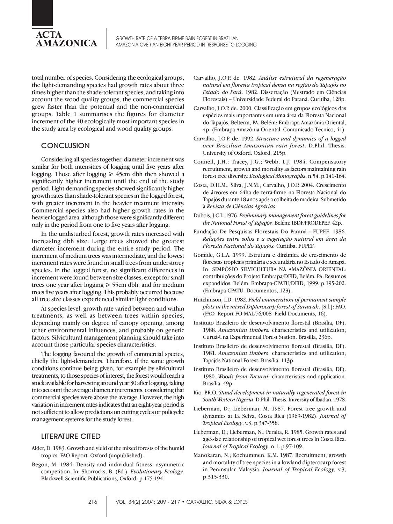

total number of species. Considering the ecological groups, the light-demanding species had growth rates about three times higher than the shade-tolerant species; and taking into account the wood quality groups, the commercial species grew faster than the potential and the non-commercial groups. Table 1 summarises the figures for diameter increment of the 40 ecologically most important species in the study area by ecological and wood quality groups.

# **CONCLUSION**

Considering all species together, diameter increment was similar for both intensities of logging until five years after logging. Those after logging  $\geq 45$ cm dbh then showed a significantly higher increment until the end of the study period. Light-demanding species showed significantly higher growth rates than shade-tolerant species in the logged forest, with greater increment in the heavier treatment intensity. Commercial species also had higher growth rates in the heavier logged area, although those were significantly different only in the period from one to five years after logging.

In the undisturbed forest, growth rates increased with increasing dbh size. Large trees showed the greatest diameter increment during the entire study period. The increment of medium trees was intermediate, and the lowest increment rates were found in small trees from understorey species. In the logged forest, no significant differences in increment were found between size classes, except for small trees one year after logging  $\geq 55$ cm dbh, and for medium trees five years after logging. This probably occurred because all tree size classes experienced similar light conditions.

At species level, growth rate varied between and within treatments, as well as between trees within species, depending mainly on degree of canopy opening, among other environmental influences, and probably on genetic factors. Silvicultural management planning should take into account those particular species characteristics.

The logging favoured the growth of commercial species, chiefly the light-demanders. Therefore, if the same growth conditions continue being given, for example by silvicultural treatments, to those species of interest, the forest would reach a stock available for harvesting around year 30 after logging, taking into account the average diameter increments, considering that commercial species were above the average. However, the high variation in increment rates indicates that an eight-year period is not sufficient to allow predictions on cutting cycles or policyclic management systems for the study forest.

#### LITERATURE CITED

- Alder, D. 1983. Growth and yield of the mixed forests of the humid tropics. FAO Report. Oxford (unpublished).
- Begon, M. 1984. Density and individual fitness: asymmetric competition. In: Shorrocks, B. (Ed.). *Evolutionary Ecology*. Blackwell Scientific Publications, Oxford. p.175-194.
- Carvalho, J.O.P. de. 1982. *Análise estrutural da regeneração natural em floresta tropical densa na região do Tapajós no Estado do Pará*. 1982. Dissertação (Mestrado em Ciências Florestais) – Universidade Federal do Paraná. Curitiba, 128p.
- Carvalho, J.O.P. de. 2000. Classificação em grupos ecológicos das espécies mais importantes em uma área da Floresta Nacional do Tapajós, Belterra, PA. Belém: Embrapa Amazônia Oriental, 4p. (Embrapa Amazônia Oriental. Comunicado Técnico, 41)
- Carvalho, J.O.P. de. 1992. *Structure and dynamics of a logged over Brazilian Amazonian rain forest*. D.Phil. Thesis. University of Oxford. Oxford, 215p.
- Connell, J.H.; Tracey, J.G.; Webb, L.J. 1984. Compensatory recruitment, growth and mortality as factors maintaining rain forest tree diversity. *Ecological Monographs*, n.54. p.141-164.
- Costa, D.H.M.; Silva, J.N.M.; Carvalho, J.O.P. 2004. Crescimento de árvores em 64ha de terra-firme na Floresta Nacional do Tapajós durante 18 anos após a colheita de madeira. Submetido à *Revista de Ciências Agrárias*.
- Dubois, J.C.L. 1976. *Preliminary management forest guidelines for the National Forest of Tapajós.* Belém: IBDF/PRODEPEF. 42p.
- Fundação De Pesquisas Florestais Do Paraná FUPEF. 1986. *Relações entre solos e a vegetação natural em área da Floresta Nacional do Tapajós.* Curitiba, FUPEF.
- Gomide, G.L.A. 1999. Estrutura e dinâmica de crescimento de florestas tropicais primária e secundária no Estado do Amapá. In: SIMPÓSIO SILVICULTURA NA AMAZÔNIA ORIENTAL: contribuições do Projeto Embrapa/DFID, Belém, PA. Resumos expandidos. Belém: Embrapa-CPATU/DFID, 1999. p.195-202. (Embrapa-CPATU. Documentos, 123).
- Hutchinson, I.D. 1982. *Field enumeration of permanent sample plots in the mixed Dipterocarp forest of Sarawak*. [S.l.]: FAO. (FAO*.* Report FO:MAL/76/008*.* Field Documents, 16).
- Instituto Brasileiro de desenvolvimento florestal (Brasília, DF). 1988. *Amazonian timbers:* characteristics and utilization; Curuá-Una Experimental Forest Station. Brasília, 236p.
- Instituto Brasileiro de desenvolvimento florestal (Brasília, DF). 1981. *Amazonian timbers*: characteristics and utilization; Tapajós National Forest. Brasília. 113p.
- Instituto Brasileiro de desenvolvimento florestal (Brasília, DF). 1980. *Woods from Tucuruí*: characteristics and application. Brasília. 49p.
- Kio, P.R.O. *Stand development in naturally regenerated forest in South-Western Nigeria*. D.Phil. Thesis. Iniversity of Ibadan. 1978.
- Lieberman, D.; Lieberman, M. 1987. Forest tree growth and dynamics at La Selva, Costa Rica (1969-1982). *Journal of Tropical Ecology*, v.3, p.347-358.
- Lieberman, D.; Lieberman, N.; Peralta, R. 1985. Growth rates and age-size relationship of tropical wet forest trees in Costa Rica. *Journal of Tropical Ecology*, n.1. p.97-109.
- Manokaran, N.; Kochummen, K.M. 1987. Recruitment, growth and mortality of tree species in a lowland dipterocarp forest in Peninsular Malaysia. *Journal of Tropical Ecology,* v.3, p.315-330.